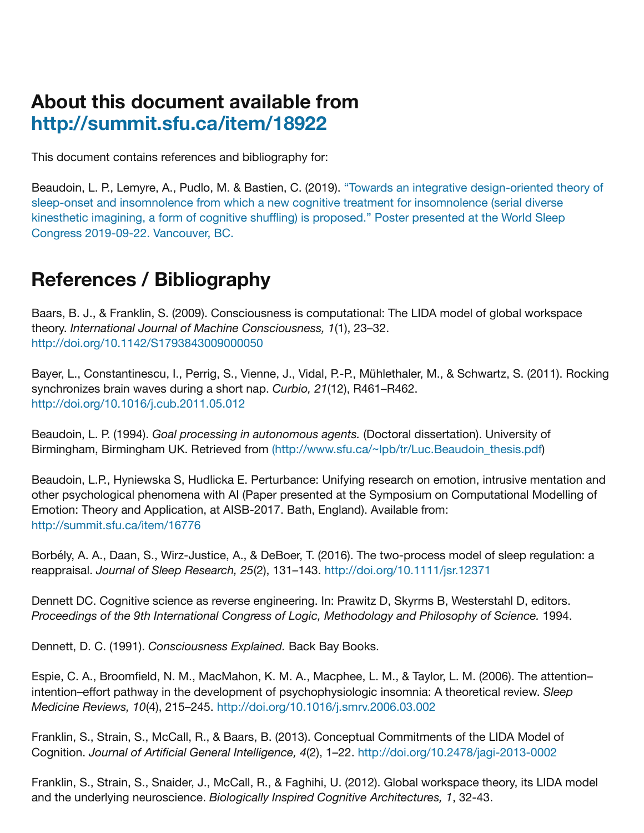## **About this document available from <http://summit.sfu.ca/item/18922>**

This document contains references and bibliography for:

[Beaudoin, L. P., Lemyre, A., Pudlo, M. & Bastien, C. \(2019\). "Towards an integrative design-oriented theory of](file:///Users/lucb/vb2/luc/projects/CFRP-Cognitive%20Fitness%20Research%20Project/Conferences/2019/WSC%20World%20Sleep%20Congress%202019/SIP%20Abstract%20and%20Poster%20WSC%202019/Summit/%5Bhttp://summit.sfu.ca/item/18922%20%7C%20Summit%5D(http://summit.sfu.ca/item/18922) sleep-onset and insomnolence from which a new cognitive treatment for insomnolence (serial diverse kinesthetic imagining, a form of cognitive shuffling) is proposed." Poster presented at the World Sleep Congress 2019-09-22. Vancouver, BC.

## **References / Bibliography**

Baars, B. J., & Franklin, S. (2009). Consciousness is computational: The LIDA model of global workspace theory. *International Journal of Machine Consciousness, 1*(1), 23–32. <http://doi.org/10.1142/S1793843009000050>

Bayer, L., Constantinescu, I., Perrig, S., Vienne, J., Vidal, P.-P., Mühlethaler, M., & Schwartz, S. (2011). Rocking synchronizes brain waves during a short nap. *Curbio, 21*(12), R461–R462. <http://doi.org/10.1016/j.cub.2011.05.012>

Beaudoin, L. P. (1994). *Goal processing in autonomous agents.* (Doctoral dissertation). University of Birmingham, Birmingham UK. Retrieved from (http://www.sfu.ca/~lpb/tr/Luc.Beaudoin thesis.pdf)

Beaudoin, L.P., Hyniewska S, Hudlicka E. Perturbance: Unifying research on emotion, intrusive mentation and other psychological phenomena with AI (Paper presented at the Symposium on Computational Modelling of Emotion: Theory and Application, at AISB-2017. Bath, England). Available from: [http://summit.sfu.ca/item/16776](file:///Users/lucb/vb2/luc/projects/CFRP-Cognitive%20Fitness%20Research%20Project/Conferences/2019/WSC%20World%20Sleep%20Congress%202019/SIP%20Abstract%20and%20Poster%20WSC%202019/Summit/%5Bhttp://summit.sfu.ca/item/16776)

Borbély, A. A., Daan, S., Wirz-Justice, A., & DeBoer, T. (2016). The two-process model of sleep regulation: a reappraisal. *Journal of Sleep Research, 25*(2), 131–143. <http://doi.org/10.1111/jsr.12371>

Dennett DC. Cognitive science as reverse engineering. In: Prawitz D, Skyrms B, Westerstahl D, editors. *Proceedings of the 9th International Congress of Logic, Methodology and Philosophy of Science.* 1994.

Dennett, D. C. (1991). *Consciousness Explained.* Back Bay Books.

Espie, C. A., Broomfield, N. M., MacMahon, K. M. A., Macphee, L. M., & Taylor, L. M. (2006). The attention– intention–effort pathway in the development of psychophysiologic insomnia: A theoretical review. *Sleep Medicine Reviews, 10*(4), 215–245.<http://doi.org/10.1016/j.smrv.2006.03.002>

Franklin, S., Strain, S., McCall, R., & Baars, B. (2013). Conceptual Commitments of the LIDA Model of Cognition. *Journal of Artificial General Intelligence, 4*(2), 1–22.<http://doi.org/10.2478/jagi-2013-0002>

Franklin, S., Strain, S., Snaider, J., McCall, R., & Faghihi, U. (2012). Global workspace theory, its LIDA model and the underlying neuroscience. *Biologically Inspired Cognitive Architectures, 1*, 32-43.